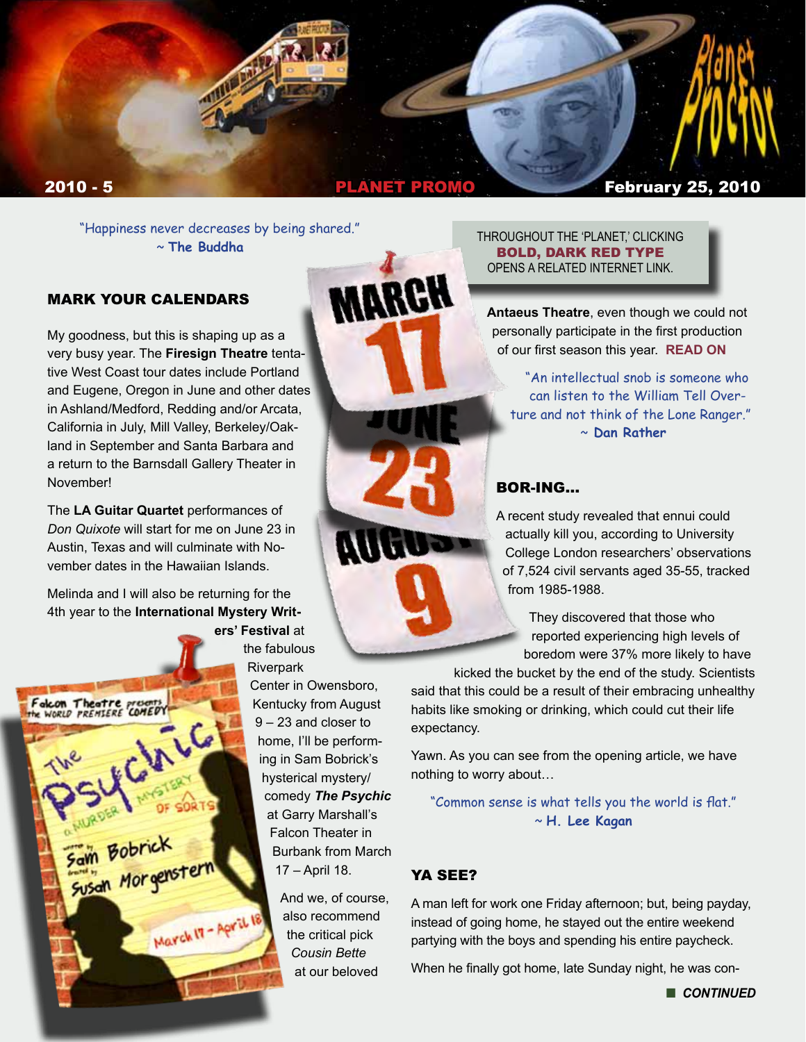

**MARGH** 

"Happiness never decreases by being shared." ~ **The Buddha**

### MARK YOUR CALENDARS

My goodness, but this is shaping up as a very busy year. The **Firesign Theatre** tentative West Coast tour dates include Portland and Eugene, Oregon in June and other dates in Ashland/Medford, Redding and/or Arcata, California in July, Mill Valley, Berkeley/Oakland in September and Santa Barbara and a return to the Barnsdall Gallery Theater in November!

The **LA Guitar Quartet** performances of *Don Quixote* will start for me on June 23 in Austin, Texas and will culminate with November dates in the Hawaiian Islands.

Melinda and I will also be returning for the 4th year to the **International Mystery Writ-**

ICHILG

Sam Bobrick<br>Susan Morgenst

SORTS

March IT - April IS

alcon Theatre presents

**ers' Festival** at the fabulous **Riverpark** 

> Center in Owensboro, Kentucky from August 9 – 23 and closer to home, I'll be performing in Sam Bobrick's hysterical mystery/ comedy *The Psychic* at Garry Marshall's Falcon Theater in Burbank from March 17 – April 18.

> > And we, of course, also recommend the critical pick *Cousin Bette* at our beloved

#### THROUGHOUT THE 'PLANET,' CLICKING BOLD, DARK RED TYPE OPENS A RELATED INTERNET LINK.

**Antaeus Theatre**, even though we could not personally participate in the first production of our first season this year. **[READ ON](http://antaeuscompany.wordpress.com/)**

"An intellectual snob is someone who can listen to the William Tell Overture and not think of the Lone Ranger." ~ **Dan Rather** 

### BOR-ING…

A recent study revealed that ennui could actually kill you, according to University College London researchers' observations of 7,524 civil servants aged 35-55, tracked from 1985-1988.

> They discovered that those who reported experiencing high levels of boredom were 37% more likely to have

kicked the bucket by the end of the study. Scientists said that this could be a result of their embracing unhealthy habits like smoking or drinking, which could cut their life expectancy.

Yawn. As you can see from the opening article, we have nothing to worry about…

"Common sense is what tells you the world is flat." ~ **H. Lee Kagan**

## YA SEE?

A man left for work one Friday afternoon; but, being payday, instead of going home, he stayed out the entire weekend partying with the boys and spending his entire paycheck.

When he finally got home, late Sunday night, he was con-

**n** CONTINUED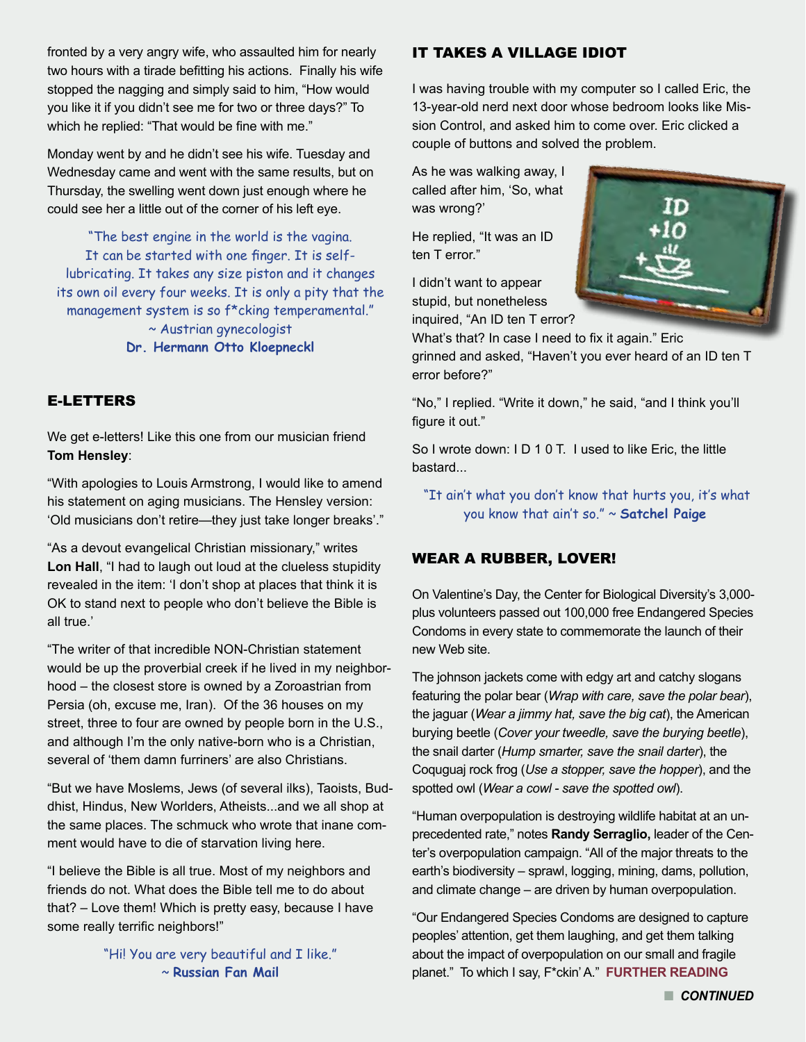fronted by a very angry wife, who assaulted him for nearly two hours with a tirade befitting his actions. Finally his wife stopped the nagging and simply said to him, "How would you like it if you didn't see me for two or three days?" To which he replied: "That would be fine with me."

Monday went by and he didn't see his wife. Tuesday and Wednesday came and went with the same results, but on Thursday, the swelling went down just enough where he could see her a little out of the corner of his left eye.

"The best engine in the world is the vagina. It can be started with one finger. It is selflubricating. It takes any size piston and it changes its own oil every four weeks. It is only a pity that the management system is so f\*cking temperamental." ~ Austrian gynecologist **Dr. Hermann Otto Kloepneckl**

### E-LETTERS

We get e-letters! Like this one from our musician friend **Tom Hensley**:

"With apologies to Louis Armstrong, I would like to amend his statement on aging musicians. The Hensley version: 'Old musicians don't retire—they just take longer breaks'."

"As a devout evangelical Christian missionary," writes **Lon Hall**, "I had to laugh out loud at the clueless stupidity revealed in the item: 'I don't shop at places that think it is OK to stand next to people who don't believe the Bible is all true.'

"The writer of that incredible NON-Christian statement would be up the proverbial creek if he lived in my neighborhood – the closest store is owned by a Zoroastrian from Persia (oh, excuse me, Iran). Of the 36 houses on my street, three to four are owned by people born in the U.S., and although I'm the only native-born who is a Christian, several of 'them damn furriners' are also Christians.

"But we have Moslems, Jews (of several ilks), Taoists, Buddhist, Hindus, New Worlders, Atheists...and we all shop at the same places. The schmuck who wrote that inane comment would have to die of starvation living here.

"I believe the Bible is all true. Most of my neighbors and friends do not. What does the Bible tell me to do about that? – Love them! Which is pretty easy, because I have some really terrific neighbors!"

> "Hi! You are very beautiful and I like." ~ **Russian Fan Mail**

#### IT TAKES A VILLAGE IDIOT

I was having trouble with my computer so I called Eric, the 13-year-old nerd next door whose bedroom looks like Mission Control, and asked him to come over. Eric clicked a couple of buttons and solved the problem.

As he was walking away, I called after him, 'So, what was wrong?'

He replied, "It was an ID ten T error."

I didn't want to appear stupid, but nonetheless inquired, "An ID ten T error?



What's that? In case I need to fix it again." Eric grinned and asked, "Haven't you ever heard of an ID ten T error before?"

"No," I replied. "Write it down," he said, "and I think you'll figure it out."

So I wrote down: I D 1 0 T. I used to like Eric, the little bastard...

 "It ain't what you don't know that hurts you, it's what you know that ain't so." ~ **Satchel Paige** 

#### WEAR A RUBBER, LOVER!

On Valentine's Day, the Center for Biological Diversity's 3,000 plus volunteers passed out 100,000 free Endangered Species Condoms in every state to commemorate the launch of their new Web site.

The johnson jackets come with edgy art and catchy slogans featuring the polar bear (*Wrap with care, save the polar bear*), the jaguar (*Wear a jimmy hat, save the big cat*), the American burying beetle (*Cover your tweedle, save the burying beetle*), the snail darter (*Hump smarter, save the snail darter*), the Coquguaj rock frog (*Use a stopper, save the hopper*), and the spotted owl (*Wear a cowl - save the spotted owl*).

"Human overpopulation is destroying wildlife habitat at an unprecedented rate," notes **Randy Serraglio,** leader of the Center's overpopulation campaign. "All of the major threats to the earth's biodiversity – sprawl, logging, mining, dams, pollution, and climate change – are driven by human overpopulation.

"Our Endangered Species Condoms are designed to capture peoples' attention, get them laughing, and get them talking about the impact of overpopulation on our small and fragile planet." To which I say, F\*ckin' A." **[FURTHER READING](http://www.EndangeredSpeciesCondoms.com)**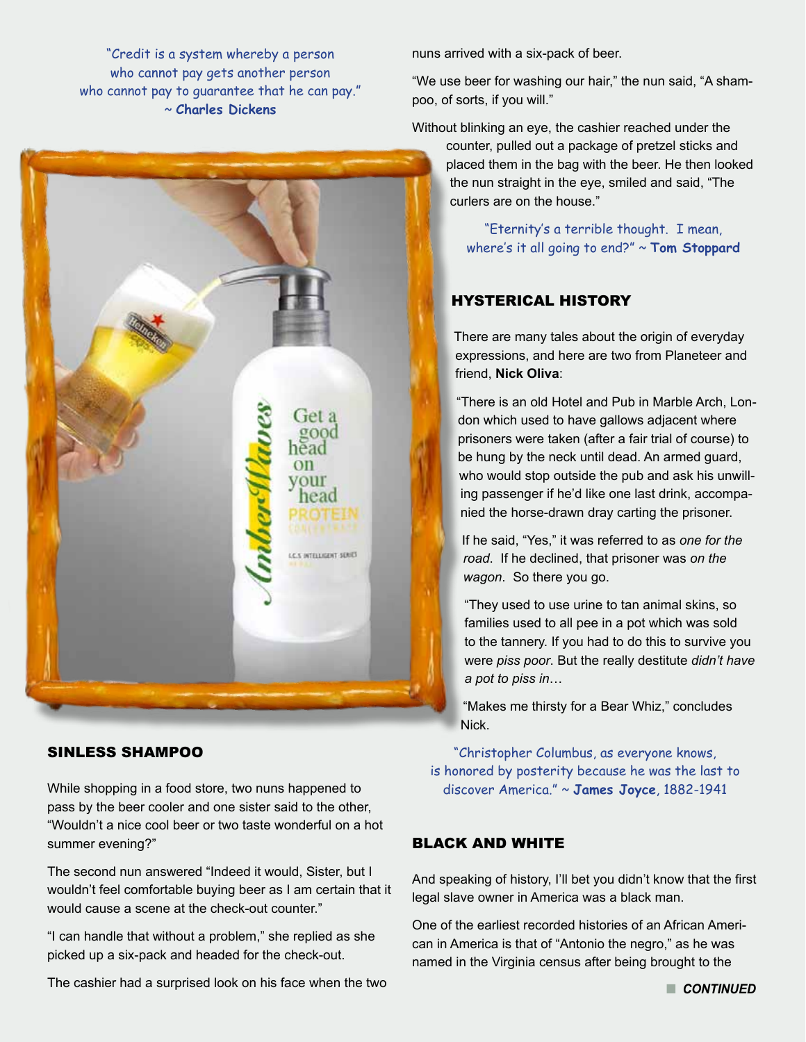"Credit is a system whereby a person who cannot pay gets another person who cannot pay to guarantee that he can pay." ~ **Charles Dickens**



### SINLESS SHAMPOO

While shopping in a food store, two nuns happened to pass by the beer cooler and one sister said to the other, "Wouldn't a nice cool beer or two taste wonderful on a hot summer evening?"

The second nun answered "Indeed it would, Sister, but I wouldn't feel comfortable buying beer as I am certain that it would cause a scene at the check-out counter."

"I can handle that without a problem," she replied as she picked up a six-pack and headed for the check-out.

The cashier had a surprised look on his face when the two

nuns arrived with a six-pack of beer.

"We use beer for washing our hair," the nun said, "A shampoo, of sorts, if you will."

Without blinking an eye, the cashier reached under the

counter, pulled out a package of pretzel sticks and placed them in the bag with the beer. He then looked the nun straight in the eye, smiled and said, "The curlers are on the house."

"Eternity's a terrible thought. I mean, where's it all going to end?" ~ **Tom Stoppard**

## HYSTERICAL HISTORY

There are many tales about the origin of everyday expressions, and here are two from Planeteer and friend, **Nick Oliva**:

"There is an old Hotel and Pub in Marble Arch, London which used to have gallows adjacent where prisoners were taken (after a fair trial of course) to be hung by the neck until dead. An armed guard, who would stop outside the pub and ask his unwilling passenger if he'd like one last drink, accompanied the horse-drawn dray carting the prisoner.

If he said, "Yes," it was referred to as *one for the road*. If he declined, that prisoner was *on the wagon*. So there you go.

"They used to use urine to tan animal skins, so families used to all pee in a pot which was sold to the tannery. If you had to do this to survive you were *piss poor*. But the really destitute *didn't have a pot to piss in*…

"Makes me thirsty for a Bear Whiz," concludes Nick.

"Christopher Columbus, as everyone knows, is honored by posterity because he was the last to discover America." ~ **James Joyce**, 1882-1941

#### BLACK AND WHITE

And speaking of history, I'll bet you didn't know that the first legal slave owner in America was a black man.

One of the earliest recorded histories of an African American in America is that of "Antonio the negro," as he was named in the Virginia census after being brought to the